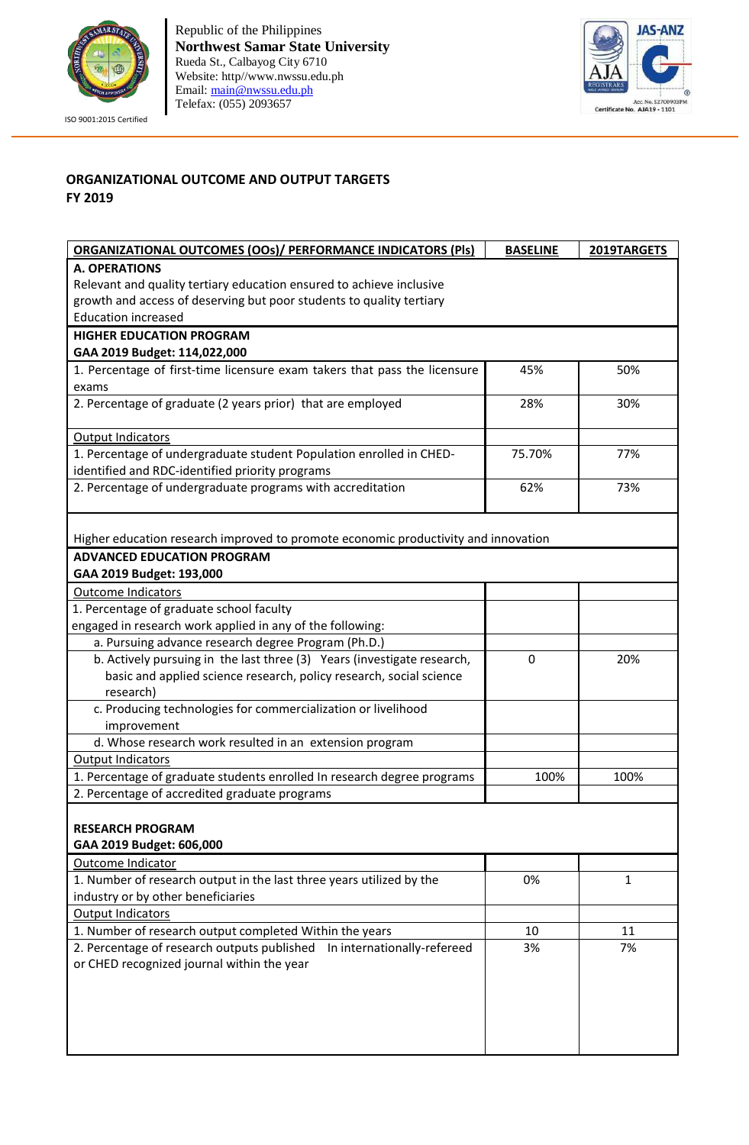

ISO 9001:2015 Certified

Republic of the Philippines **Northwest Samar State University** Rueda St., Calbayog City 6710 Website: http//www.nwssu.edu.ph Email: [main@nwssu.edu.ph](mailto:main@nwssu.edu.ph) Telefax: (055) 2093657



## **ORGANIZATIONAL OUTCOME AND OUTPUT TARGETS FY 2019**

| <b>ORGANIZATIONAL OUTCOMES (OOs)/ PERFORMANCE INDICATORS (PIs)</b>                 | <b>BASELINE</b> | 2019TARGETS  |  |
|------------------------------------------------------------------------------------|-----------------|--------------|--|
| <b>A. OPERATIONS</b>                                                               |                 |              |  |
| Relevant and quality tertiary education ensured to achieve inclusive               |                 |              |  |
| growth and access of deserving but poor students to quality tertiary               |                 |              |  |
| <b>Education increased</b>                                                         |                 |              |  |
| <b>HIGHER EDUCATION PROGRAM</b>                                                    |                 |              |  |
| GAA 2019 Budget: 114,022,000                                                       |                 |              |  |
| 1. Percentage of first-time licensure exam takers that pass the licensure          | 45%             | 50%          |  |
| exams                                                                              |                 |              |  |
| 2. Percentage of graduate (2 years prior) that are employed                        | 28%             | 30%          |  |
| <b>Output Indicators</b>                                                           |                 |              |  |
| 1. Percentage of undergraduate student Population enrolled in CHED-                | 75.70%          | 77%          |  |
| identified and RDC-identified priority programs                                    |                 |              |  |
| 2. Percentage of undergraduate programs with accreditation                         | 62%             | 73%          |  |
| Higher education research improved to promote economic productivity and innovation |                 |              |  |
| <b>ADVANCED EDUCATION PROGRAM</b>                                                  |                 |              |  |
| GAA 2019 Budget: 193,000                                                           |                 |              |  |
| <b>Outcome Indicators</b>                                                          |                 |              |  |
| 1. Percentage of graduate school faculty                                           |                 |              |  |
| engaged in research work applied in any of the following:                          |                 |              |  |
| a. Pursuing advance research degree Program (Ph.D.)                                |                 |              |  |
| b. Actively pursuing in the last three (3) Years (investigate research,            | 0               | 20%          |  |
| basic and applied science research, policy research, social science                |                 |              |  |
| research)                                                                          |                 |              |  |
| c. Producing technologies for commercialization or livelihood                      |                 |              |  |
| improvement                                                                        |                 |              |  |
| d. Whose research work resulted in an extension program                            |                 |              |  |
| <b>Output Indicators</b>                                                           |                 |              |  |
| 1. Percentage of graduate students enrolled In research degree programs            | 100%            | 100%         |  |
| 2. Percentage of accredited graduate programs                                      |                 |              |  |
| <b>RESEARCH PROGRAM</b>                                                            |                 |              |  |
| GAA 2019 Budget: 606,000                                                           |                 |              |  |
| Outcome Indicator                                                                  |                 |              |  |
| 1. Number of research output in the last three years utilized by the               | 0%              | $\mathbf{1}$ |  |
| industry or by other beneficiaries                                                 |                 |              |  |
| <b>Output Indicators</b>                                                           |                 |              |  |
| 1. Number of research output completed Within the years                            | 10              | 11           |  |
| 2. Percentage of research outputs published  In internationally-refereed           | 3%              | 7%           |  |
| or CHED recognized journal within the year                                         |                 |              |  |
|                                                                                    |                 |              |  |
|                                                                                    |                 |              |  |
|                                                                                    |                 |              |  |
|                                                                                    |                 |              |  |
|                                                                                    |                 |              |  |